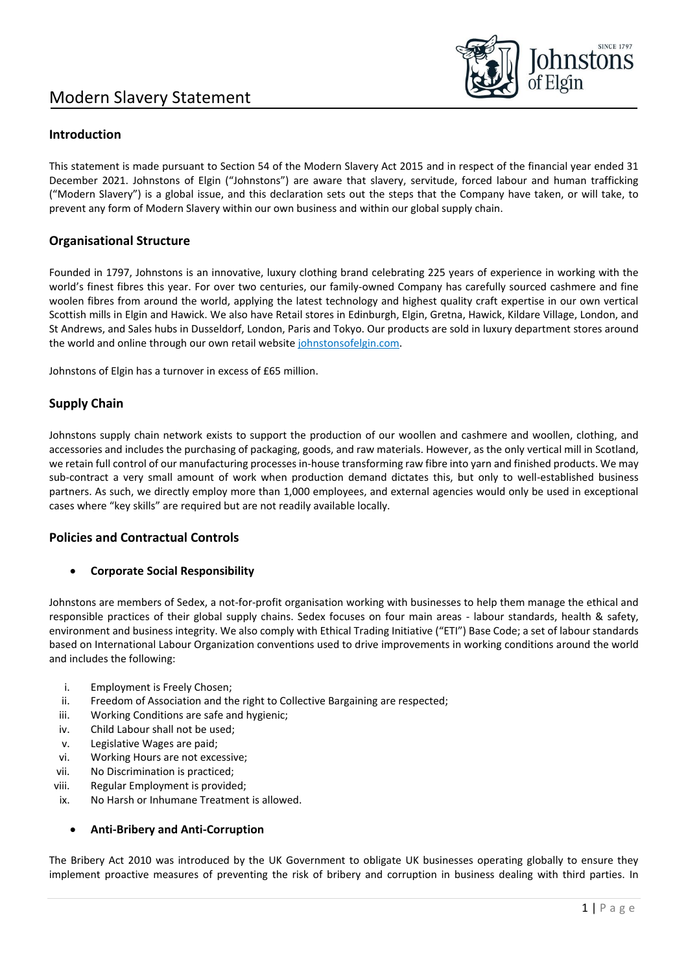

# **Introduction**

This statement is made pursuant to Section 54 of the Modern Slavery Act 2015 and in respect of the financial year ended 31 December 2021. Johnstons of Elgin ("Johnstons") are aware that slavery, servitude, forced labour and human trafficking ("Modern Slavery") is a global issue, and this declaration sets out the steps that the Company have taken, or will take, to prevent any form of Modern Slavery within our own business and within our global supply chain.

## **Organisational Structure**

Founded in 1797, Johnstons is an innovative, luxury clothing brand celebrating 225 years of experience in working with the world's finest fibres this year. For over two centuries, our family-owned Company has carefully sourced cashmere and fine woolen fibres from around the world, applying the latest technology and highest quality craft expertise in our own vertical Scottish mills in Elgin and Hawick. We also have Retail stores in Edinburgh, Elgin, Gretna, Hawick, Kildare Village, London, and St Andrews, and Sales hubs in Dusseldorf, London, Paris and Tokyo. Our products are sold in luxury department stores around the world and online through our own retail website johnstonsofelgin.com.

Johnstons of Elgin has a turnover in excess of £65 million.

### **Supply Chain**

Johnstons supply chain network exists to support the production of our woollen and cashmere and woollen, clothing, and accessories and includes the purchasing of packaging, goods, and raw materials. However, as the only vertical mill in Scotland, we retain full control of our manufacturing processes in-house transforming raw fibre into yarn and finished products. We may sub-contract a very small amount of work when production demand dictates this, but only to well-established business partners. As such, we directly employ more than 1,000 employees, and external agencies would only be used in exceptional cases where "key skills" are required but are not readily available locally.

### **Policies and Contractual Controls**

### • **Corporate Social Responsibility**

Johnstons are members of Sedex, a not-for-profit organisation working with businesses to help them manage the ethical and responsible practices of their global supply chains. Sedex focuses on four main areas - labour standards, health & safety, environment and business integrity. We also comply with Ethical Trading Initiative ("ETI") Base Code; a set of labour standards based on International Labour Organization conventions used to drive improvements in working conditions around the world and includes the following:

- i. Employment is Freely Chosen;
- ii. Freedom of Association and the right to Collective Bargaining are respected;
- iii. Working Conditions are safe and hygienic;
- iv. Child Labour shall not be used;
- v. Legislative Wages are paid;
- vi. Working Hours are not excessive;
- vii. No Discrimination is practiced;
- viii. Regular Employment is provided;
- ix. No Harsh or Inhumane Treatment is allowed.

### • **Anti-Bribery and Anti-Corruption**

The Bribery Act 2010 was introduced by the UK Government to obligate UK businesses operating globally to ensure they implement proactive measures of preventing the risk of bribery and corruption in business dealing with third parties. In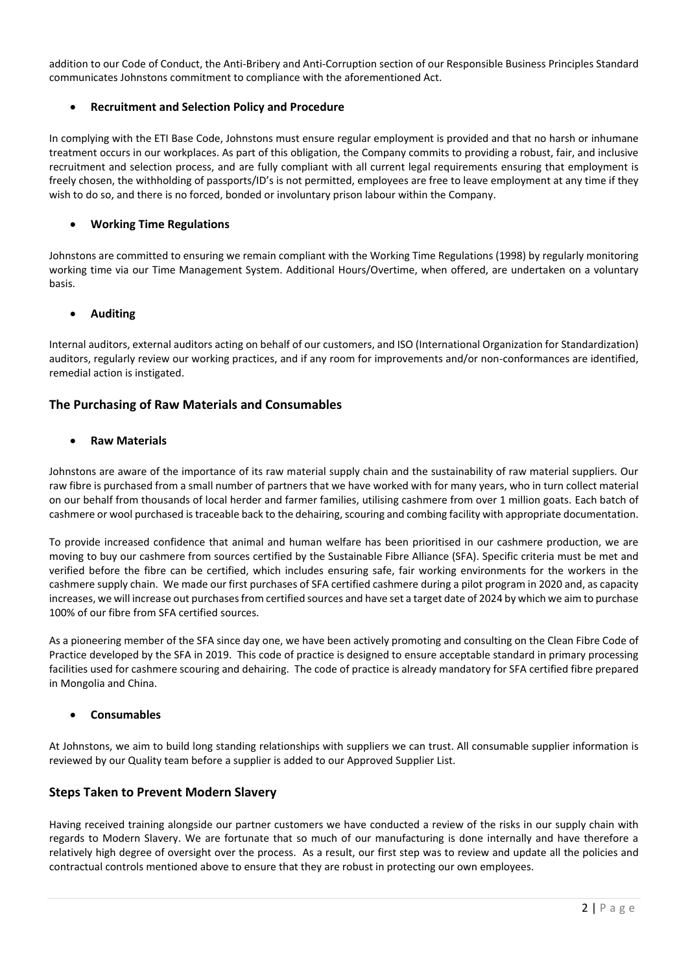addition to our Code of Conduct, the Anti-Bribery and Anti-Corruption section of our Responsible Business Principles Standard communicates Johnstons commitment to compliance with the aforementioned Act.

### • **Recruitment and Selection Policy and Procedure**

In complying with the ETI Base Code, Johnstons must ensure regular employment is provided and that no harsh or inhumane treatment occurs in our workplaces. As part of this obligation, the Company commits to providing a robust, fair, and inclusive recruitment and selection process, and are fully compliant with all current legal requirements ensuring that employment is freely chosen, the withholding of passports/ID's is not permitted, employees are free to leave employment at any time if they wish to do so, and there is no forced, bonded or involuntary prison labour within the Company.

### • **Working Time Regulations**

Johnstons are committed to ensuring we remain compliant with the Working Time Regulations (1998) by regularly monitoring working time via our Time Management System. Additional Hours/Overtime, when offered, are undertaken on a voluntary basis.

### • **Auditing**

Internal auditors, external auditors acting on behalf of our customers, and ISO (International Organization for Standardization) auditors, regularly review our working practices, and if any room for improvements and/or non-conformances are identified, remedial action is instigated.

### **The Purchasing of Raw Materials and Consumables**

### • **Raw Materials**

Johnstons are aware of the importance of its raw material supply chain and the sustainability of raw material suppliers. Our raw fibre is purchased from a small number of partners that we have worked with for many years, who in turn collect material on our behalf from thousands of local herder and farmer families, utilising cashmere from over 1 million goats. Each batch of cashmere or wool purchased is traceable back to the dehairing, scouring and combing facility with appropriate documentation.

To provide increased confidence that animal and human welfare has been prioritised in our cashmere production, we are moving to buy our cashmere from sources certified by the Sustainable Fibre Alliance (SFA). Specific criteria must be met and verified before the fibre can be certified, which includes ensuring safe, fair working environments for the workers in the cashmere supply chain. We made our first purchases of SFA certified cashmere during a pilot program in 2020 and, as capacity increases, we will increase out purchases from certified sources and have set a target date of 2024 by which we aim to purchase 100% of our fibre from SFA certified sources.

As a pioneering member of the SFA since day one, we have been actively promoting and consulting on the Clean Fibre Code of Practice developed by the SFA in 2019. This code of practice is designed to ensure acceptable standard in primary processing facilities used for cashmere scouring and dehairing. The code of practice is already mandatory for SFA certified fibre prepared in Mongolia and China.

### • **Consumables**

At Johnstons, we aim to build long standing relationships with suppliers we can trust. All consumable supplier information is reviewed by our Quality team before a supplier is added to our Approved Supplier List.

### **Steps Taken to Prevent Modern Slavery**

Having received training alongside our partner customers we have conducted a review of the risks in our supply chain with regards to Modern Slavery. We are fortunate that so much of our manufacturing is done internally and have therefore a relatively high degree of oversight over the process. As a result, our first step was to review and update all the policies and contractual controls mentioned above to ensure that they are robust in protecting our own employees.